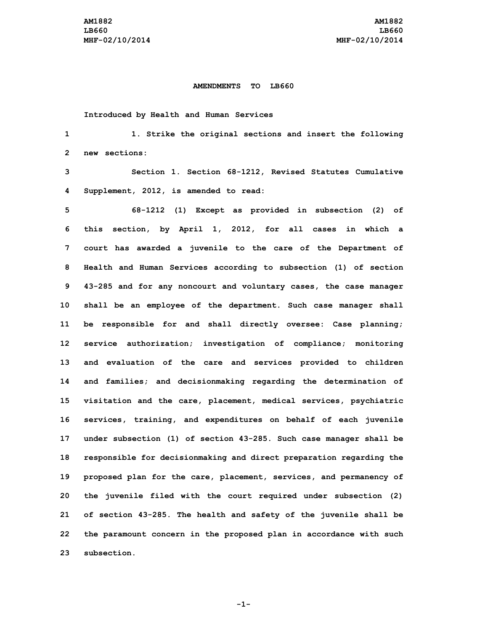## **AMENDMENTS TO LB660**

**Introduced by Health and Human Services**

 **1. Strike the original sections and insert the following new sections: Section 1. Section 68-1212, Revised Statutes Cumulative Supplement, 2012, is amended to read: 68-1212 (1) Except as provided in subsection (2) of this section, by April 1, 2012, for all cases in which <sup>a</sup> court has awarded <sup>a</sup> juvenile to the care of the Department of Health and Human Services according to subsection (1) of section 43-285 and for any noncourt and voluntary cases, the case manager shall be an employee of the department. Such case manager shall be responsible for and shall directly oversee: Case planning; service authorization; investigation of compliance; monitoring and evaluation of the care and services provided to children and families; and decisionmaking regarding the determination of visitation and the care, placement, medical services, psychiatric services, training, and expenditures on behalf of each juvenile under subsection (1) of section 43-285. Such case manager shall be responsible for decisionmaking and direct preparation regarding the proposed plan for the care, placement, services, and permanency of the juvenile filed with the court required under subsection (2) of section 43-285. The health and safety of the juvenile shall be the paramount concern in the proposed plan in accordance with such subsection.**

**-1-**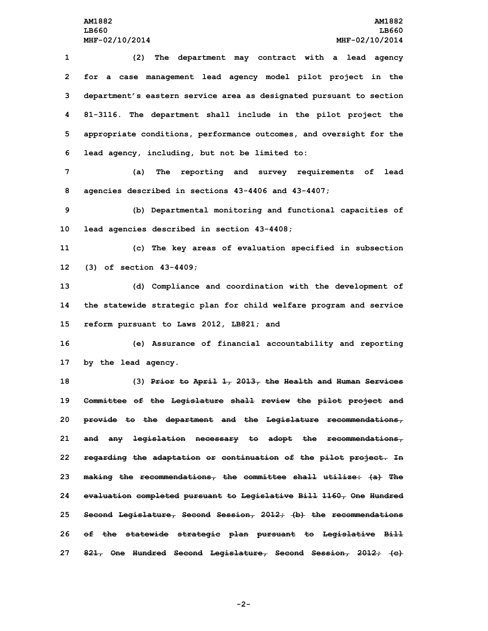**(2) The department may contract with <sup>a</sup> lead agency for <sup>a</sup> case management lead agency model pilot project in the department's eastern service area as designated pursuant to section 81-3116. The department shall include in the pilot project the appropriate conditions, performance outcomes, and oversight for the lead agency, including, but not be limited to:**

**7 (a) The reporting and survey requirements of lead 8 agencies described in sections 43-4406 and 43-4407;**

**9 (b) Departmental monitoring and functional capacities of 10 lead agencies described in section 43-4408;**

**11 (c) The key areas of evaluation specified in subsection 12 (3) of section 43-4409;**

**13 (d) Compliance and coordination with the development of 14 the statewide strategic plan for child welfare program and service 15 reform pursuant to Laws 2012, LB821; and**

**16 (e) Assurance of financial accountability and reporting 17 by the lead agency.**

 **(3) Prior to April 1, 2013, the Health and Human Services Committee of the Legislature shall review the pilot project and provide to the department and the Legislature recommendations, and any legislation necessary to adopt the recommendations, regarding the adaptation or continuation of the pilot project. In making the recommendations, the committee shall utilize: (a) The evaluation completed pursuant to Legislative Bill 1160, One Hundred Second Legislature, Second Session, 2012; (b) the recommendations of the statewide strategic plan pursuant to Legislative Bill 821, One Hundred Second Legislature, Second Session, 2012; (c)**

**-2-**